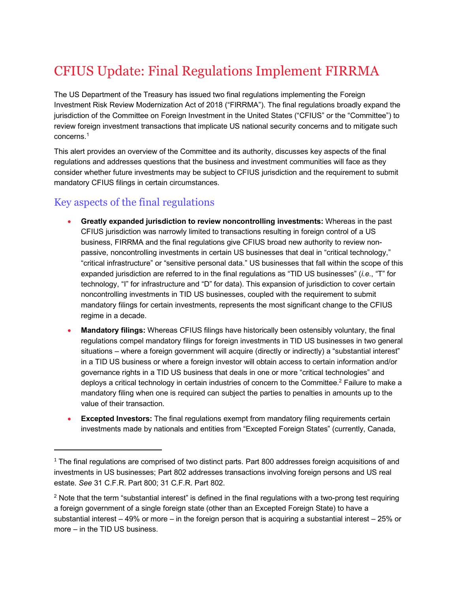# CFIUS Update: Final Regulations Implement FIRRMA

The US Department of the Treasury has issued two final regulations implementing the Foreign Investment Risk Review Modernization Act of 2018 ("FIRRMA"). The final regulations broadly expand the jurisdiction of the Committee on Foreign Investment in the United States ("CFIUS" or the "Committee") to review foreign investment transactions that implicate US national security concerns and to mitigate such concerns. 1

This alert provides an overview of the Committee and its authority, discusses key aspects of the final regulations and addresses questions that the business and investment communities will face as they consider whether future investments may be subject to CFIUS jurisdiction and the requirement to submit mandatory CFIUS filings in certain circumstances.

# Key aspects of the final regulations

 $\overline{a}$ 

- **Greatly expanded jurisdiction to review noncontrolling investments:** Whereas in the past CFIUS jurisdiction was narrowly limited to transactions resulting in foreign control of a US business, FIRRMA and the final regulations give CFIUS broad new authority to review nonpassive, noncontrolling investments in certain US businesses that deal in "critical technology," "critical infrastructure" or "sensitive personal data." US businesses that fall within the scope of this expanded jurisdiction are referred to in the final regulations as "TID US businesses" (*i.e.*, "T" for technology, "I" for infrastructure and "D" for data). This expansion of jurisdiction to cover certain noncontrolling investments in TID US businesses, coupled with the requirement to submit mandatory filings for certain investments, represents the most significant change to the CFIUS regime in a decade.
- **Mandatory filings:** Whereas CFIUS filings have historically been ostensibly voluntary, the final regulations compel mandatory filings for foreign investments in TID US businesses in two general situations – where a foreign government will acquire (directly or indirectly) a "substantial interest" in a TID US business or where a foreign investor will obtain access to certain information and/or governance rights in a TID US business that deals in one or more "critical technologies" and deploys a critical technology in certain industries of concern to the Committee.<sup>2</sup> Failure to make a mandatory filing when one is required can subject the parties to penalties in amounts up to the value of their transaction.
- **Excepted Investors:** The final regulations exempt from mandatory filing requirements certain investments made by nationals and entities from "Excepted Foreign States" (currently, Canada,

 $1$  The final regulations are comprised of two distinct parts. Part 800 addresses foreign acquisitions of and investments in US businesses; Part 802 addresses transactions involving foreign persons and US real estate. *See* 31 C.F.R. Part 800; 31 C.F.R. Part 802.

<sup>&</sup>lt;sup>2</sup> Note that the term "substantial interest" is defined in the final regulations with a two-prong test requiring a foreign government of a single foreign state (other than an Excepted Foreign State) to have a substantial interest – 49% or more – in the foreign person that is acquiring a substantial interest – 25% or more – in the TID US business.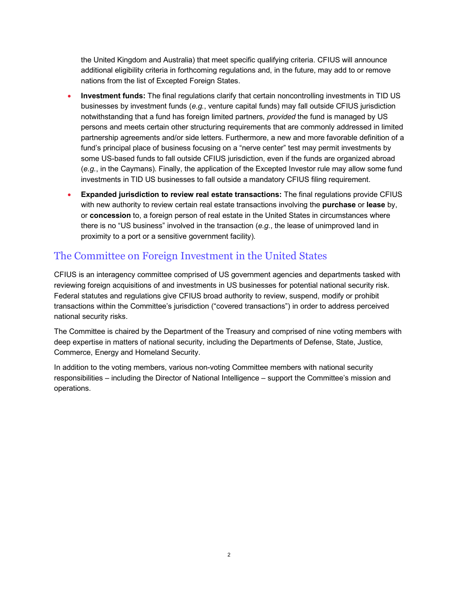the United Kingdom and Australia) that meet specific qualifying criteria. CFIUS will announce additional eligibility criteria in forthcoming regulations and, in the future, may add to or remove nations from the list of Excepted Foreign States.

- **Investment funds:** The final regulations clarify that certain noncontrolling investments in TID US businesses by investment funds (*e.g.*, venture capital funds) may fall outside CFIUS jurisdiction notwithstanding that a fund has foreign limited partners, *provided* the fund is managed by US persons and meets certain other structuring requirements that are commonly addressed in limited partnership agreements and/or side letters. Furthermore, a new and more favorable definition of a fund's principal place of business focusing on a "nerve center" test may permit investments by some US-based funds to fall outside CFIUS jurisdiction, even if the funds are organized abroad (*e.g.*, in the Caymans). Finally, the application of the Excepted Investor rule may allow some fund investments in TID US businesses to fall outside a mandatory CFIUS filing requirement.
- **Expanded jurisdiction to review real estate transactions:** The final regulations provide CFIUS with new authority to review certain real estate transactions involving the **purchase** or **lease** by, or **concession** to, a foreign person of real estate in the United States in circumstances where there is no "US business" involved in the transaction (*e.g.*, the lease of unimproved land in proximity to a port or a sensitive government facility).

# The Committee on Foreign Investment in the United States

CFIUS is an interagency committee comprised of US government agencies and departments tasked with reviewing foreign acquisitions of and investments in US businesses for potential national security risk. Federal statutes and regulations give CFIUS broad authority to review, suspend, modify or prohibit transactions within the Committee's jurisdiction ("covered transactions") in order to address perceived national security risks.

The Committee is chaired by the Department of the Treasury and comprised of nine voting members with deep expertise in matters of national security, including the Departments of Defense, State, Justice, Commerce, Energy and Homeland Security.

In addition to the voting members, various non-voting Committee members with national security responsibilities – including the Director of National Intelligence – support the Committee's mission and operations.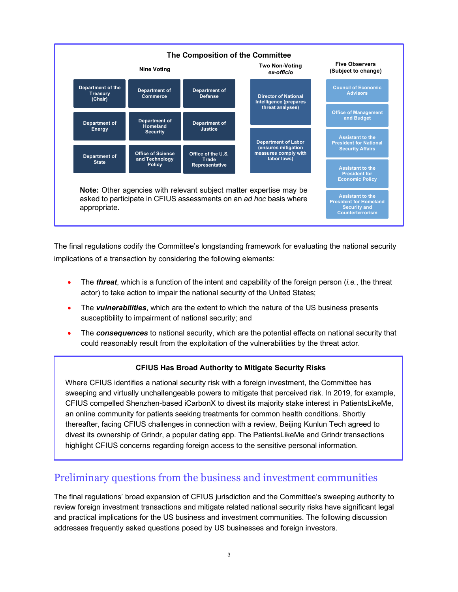

The final regulations codify the Committee's longstanding framework for evaluating the national security implications of a transaction by considering the following elements:

- The *threat*, which is a function of the intent and capability of the foreign person (*i.e.*, the threat actor) to take action to impair the national security of the United States;
- The *vulnerabilities*, which are the extent to which the nature of the US business presents susceptibility to impairment of national security; and
- The *consequences* to national security, which are the potential effects on national security that could reasonably result from the exploitation of the vulnerabilities by the threat actor.

# **CFIUS Has Broad Authority to Mitigate Security Risks**

Where CFIUS identifies a national security risk with a foreign investment, the Committee has sweeping and virtually unchallengeable powers to mitigate that perceived risk. In 2019, for example, CFIUS compelled Shenzhen-based iCarbonX to divest its majority stake interest in PatientsLikeMe, an online community for patients seeking treatments for common health conditions. Shortly thereafter, facing CFIUS challenges in connection with a review, Beijing Kunlun Tech agreed to divest its ownership of Grindr, a popular dating app. The PatientsLikeMe and Grindr transactions highlight CFIUS concerns regarding foreign access to the sensitive personal information.

# Preliminary questions from the business and investment communities

The final regulations' broad expansion of CFIUS jurisdiction and the Committee's sweeping authority to review foreign investment transactions and mitigate related national security risks have significant legal and practical implications for the US business and investment communities. The following discussion addresses frequently asked questions posed by US businesses and foreign investors.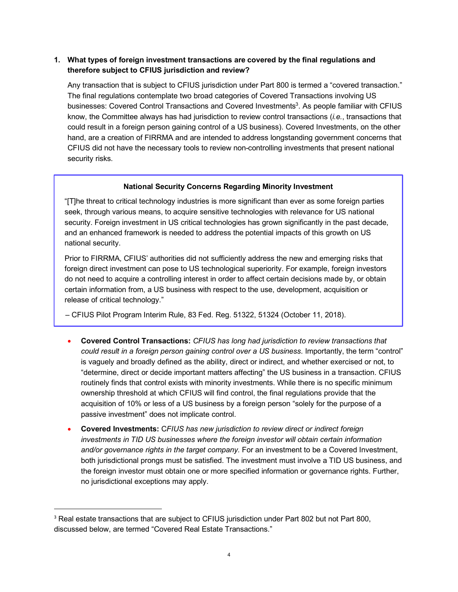# **1. What types of foreign investment transactions are covered by the final regulations and therefore subject to CFIUS jurisdiction and review?**

Any transaction that is subject to CFIUS jurisdiction under Part 800 is termed a "covered transaction." The final regulations contemplate two broad categories of Covered Transactions involving US businesses: Covered Control Transactions and Covered Investments<sup>3</sup>. As people familiar with CFIUS know, the Committee always has had jurisdiction to review control transactions (*i.e.*, transactions that could result in a foreign person gaining control of a US business). Covered Investments, on the other hand, are a creation of FIRRMA and are intended to address longstanding government concerns that CFIUS did not have the necessary tools to review non-controlling investments that present national security risks.

# **National Security Concerns Regarding Minority Investment**

"[T]he threat to critical technology industries is more significant than ever as some foreign parties seek, through various means, to acquire sensitive technologies with relevance for US national security. Foreign investment in US critical technologies has grown significantly in the past decade, and an enhanced framework is needed to address the potential impacts of this growth on US national security.

Prior to FIRRMA, CFIUS' authorities did not sufficiently address the new and emerging risks that foreign direct investment can pose to US technological superiority. For example, foreign investors do not need to acquire a controlling interest in order to affect certain decisions made by, or obtain certain information from, a US business with respect to the use, development, acquisition or release of critical technology."

– CFIUS Pilot Program Interim Rule, 83 Fed. Reg. 51322, 51324 (October 11, 2018).

- **Covered Control Transactions:** *CFIUS has long had jurisdiction to review transactions that could result in a foreign person gaining control over a US business*. Importantly, the term "control" is vaguely and broadly defined as the ability, direct or indirect, and whether exercised or not, to "determine, direct or decide important matters affecting" the US business in a transaction. CFIUS routinely finds that control exists with minority investments. While there is no specific minimum ownership threshold at which CFIUS will find control, the final regulations provide that the acquisition of 10% or less of a US business by a foreign person "solely for the purpose of a passive investment" does not implicate control.
- **Covered Investments:** C*FIUS has new jurisdiction to review direct or indirect foreign investments in TID US businesses where the foreign investor will obtain certain information and/or governance rights in the target company.* For an investment to be a Covered Investment, both jurisdictional prongs must be satisfied. The investment must involve a TID US business, and the foreign investor must obtain one or more specified information or governance rights. Further, no jurisdictional exceptions may apply.

<sup>&</sup>lt;sup>3</sup> Real estate transactions that are subject to CFIUS jurisdiction under Part 802 but not Part 800, discussed below, are termed "Covered Real Estate Transactions."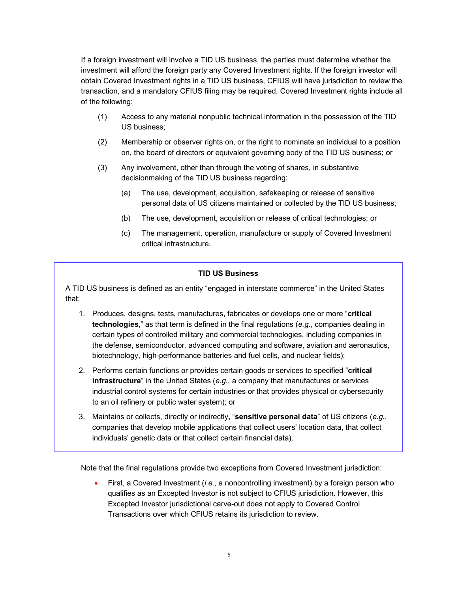If a foreign investment will involve a TID US business, the parties must determine whether the investment will afford the foreign party any Covered Investment rights. If the foreign investor will obtain Covered Investment rights in a TID US business, CFIUS will have jurisdiction to review the transaction, and a mandatory CFIUS filing may be required. Covered Investment rights include all of the following:

- (1) Access to any material nonpublic technical information in the possession of the TID US business;
- (2) Membership or observer rights on, or the right to nominate an individual to a position on, the board of directors or equivalent governing body of the TID US business; or
- (3) Any involvement, other than through the voting of shares, in substantive decisionmaking of the TID US business regarding:
	- (a) The use, development, acquisition, safekeeping or release of sensitive personal data of US citizens maintained or collected by the TID US business;
	- (b) The use, development, acquisition or release of critical technologies; or
	- (c) The management, operation, manufacture or supply of Covered Investment critical infrastructure.

### **TID US Business**

A TID US business is defined as an entity "engaged in interstate commerce" in the United States that:

- 1. Produces, designs, tests, manufactures, fabricates or develops one or more "**critical technologies**," as that term is defined in the final regulations (*e.g.*, companies dealing in certain types of controlled military and commercial technologies, including companies in the defense, semiconductor, advanced computing and software, aviation and aeronautics, biotechnology, high-performance batteries and fuel cells, and nuclear fields);
- 2. Performs certain functions or provides certain goods or services to specified "**critical infrastructure**" in the United States (*e.g.*, a company that manufactures or services industrial control systems for certain industries or that provides physical or cybersecurity to an oil refinery or public water system); or
- 3. Maintains or collects, directly or indirectly, "**sensitive personal data**" of US citizens (*e.g.*, companies that develop mobile applications that collect users' location data, that collect individuals' genetic data or that collect certain financial data).

Note that the final regulations provide two exceptions from Covered Investment jurisdiction:

• First, a Covered Investment (*i.e.*, a noncontrolling investment) by a foreign person who qualifies as an Excepted Investor is not subject to CFIUS jurisdiction. However, this Excepted Investor jurisdictional carve-out does not apply to Covered Control Transactions over which CFIUS retains its jurisdiction to review.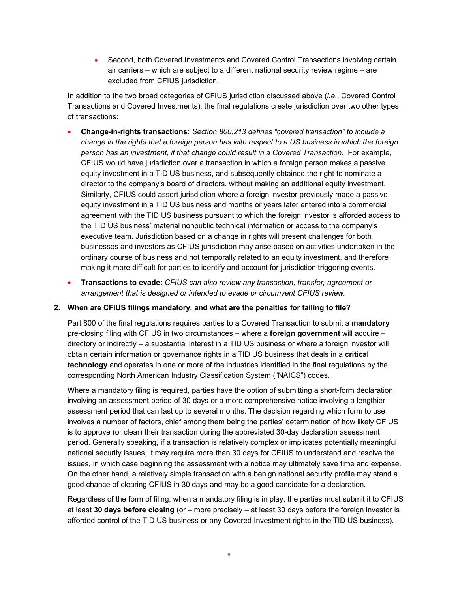• Second, both Covered Investments and Covered Control Transactions involving certain air carriers – which are subject to a different national security review regime – are excluded from CFIUS jurisdiction.

In addition to the two broad categories of CFIUS jurisdiction discussed above (*i.e.*, Covered Control Transactions and Covered Investments), the final regulations create jurisdiction over two other types of transactions:

- **Change-in-rights transactions:** *Section 800.213 defines "covered transaction" to include a change in the rights that a foreign person has with respect to a US business in which the foreign person has an investment, if that change could result in a Covered Transaction.* For example, CFIUS would have jurisdiction over a transaction in which a foreign person makes a passive equity investment in a TID US business, and subsequently obtained the right to nominate a director to the company's board of directors, without making an additional equity investment. Similarly, CFIUS could assert jurisdiction where a foreign investor previously made a passive equity investment in a TID US business and months or years later entered into a commercial agreement with the TID US business pursuant to which the foreign investor is afforded access to the TID US business' material nonpublic technical information or access to the company's executive team. Jurisdiction based on a change in rights will present challenges for both businesses and investors as CFIUS jurisdiction may arise based on activities undertaken in the ordinary course of business and not temporally related to an equity investment, and therefore making it more difficult for parties to identify and account for jurisdiction triggering events.
- **Transactions to evade:** *CFIUS can also review any transaction, transfer, agreement or arrangement that is designed or intended to evade or circumvent CFIUS review.*

#### **2. When are CFIUS filings mandatory, and what are the penalties for failing to file?**

Part 800 of the final regulations requires parties to a Covered Transaction to submit a **mandatory** pre-closing filing with CFIUS in two circumstances – where a **foreign government** will acquire – directory or indirectly – a substantial interest in a TID US business or where a foreign investor will obtain certain information or governance rights in a TID US business that deals in a **critical technology** and operates in one or more of the industries identified in the final regulations by the corresponding North American Industry Classification System ("NAICS") codes.

Where a mandatory filing is required, parties have the option of submitting a short-form declaration involving an assessment period of 30 days or a more comprehensive notice involving a lengthier assessment period that can last up to several months. The decision regarding which form to use involves a number of factors, chief among them being the parties' determination of how likely CFIUS is to approve (or clear) their transaction during the abbreviated 30-day declaration assessment period. Generally speaking, if a transaction is relatively complex or implicates potentially meaningful national security issues, it may require more than 30 days for CFIUS to understand and resolve the issues, in which case beginning the assessment with a notice may ultimately save time and expense. On the other hand, a relatively simple transaction with a benign national security profile may stand a good chance of clearing CFIUS in 30 days and may be a good candidate for a declaration.

Regardless of the form of filing, when a mandatory filing is in play, the parties must submit it to CFIUS at least **30 days before closing** (or – more precisely – at least 30 days before the foreign investor is afforded control of the TID US business or any Covered Investment rights in the TID US business).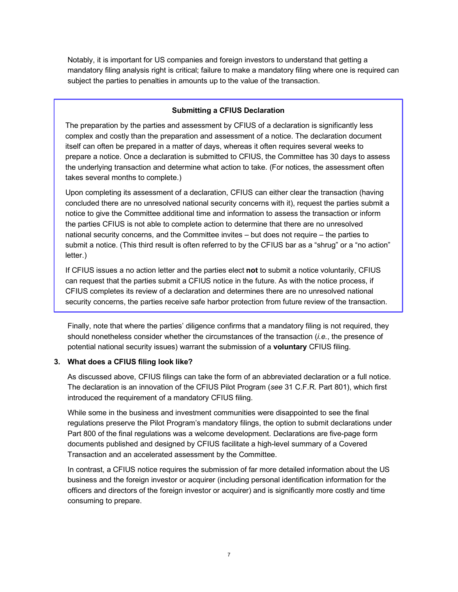Notably, it is important for US companies and foreign investors to understand that getting a mandatory filing analysis right is critical; failure to make a mandatory filing where one is required can subject the parties to penalties in amounts up to the value of the transaction.

#### **Submitting a CFIUS Declaration**

The preparation by the parties and assessment by CFIUS of a declaration is significantly less complex and costly than the preparation and assessment of a notice. The declaration document itself can often be prepared in a matter of days, whereas it often requires several weeks to prepare a notice. Once a declaration is submitted to CFIUS, the Committee has 30 days to assess the underlying transaction and determine what action to take. (For notices, the assessment often takes several months to complete.)

Upon completing its assessment of a declaration, CFIUS can either clear the transaction (having concluded there are no unresolved national security concerns with it), request the parties submit a notice to give the Committee additional time and information to assess the transaction or inform the parties CFIUS is not able to complete action to determine that there are no unresolved national security concerns, and the Committee invites – but does not require – the parties to submit a notice. (This third result is often referred to by the CFIUS bar as a "shrug" or a "no action" letter.)

If CFIUS issues a no action letter and the parties elect **not** to submit a notice voluntarily, CFIUS can request that the parties submit a CFIUS notice in the future. As with the notice process, if CFIUS completes its review of a declaration and determines there are no unresolved national security concerns, the parties receive safe harbor protection from future review of the transaction.

Finally, note that where the parties' diligence confirms that a mandatory filing is not required, they should nonetheless consider whether the circumstances of the transaction (*i.e.*, the presence of potential national security issues) warrant the submission of a **voluntary** CFIUS filing.

#### **3. What does a CFIUS filing look like?**

As discussed above, CFIUS filings can take the form of an abbreviated declaration or a full notice. The declaration is an innovation of the CFIUS Pilot Program (*see* 31 C.F.R. Part 801), which first introduced the requirement of a mandatory CFIUS filing.

While some in the business and investment communities were disappointed to see the final regulations preserve the Pilot Program's mandatory filings, the option to submit declarations under Part 800 of the final regulations was a welcome development. Declarations are five-page form documents published and designed by CFIUS facilitate a high-level summary of a Covered Transaction and an accelerated assessment by the Committee.

In contrast, a CFIUS notice requires the submission of far more detailed information about the US business and the foreign investor or acquirer (including personal identification information for the officers and directors of the foreign investor or acquirer) and is significantly more costly and time consuming to prepare.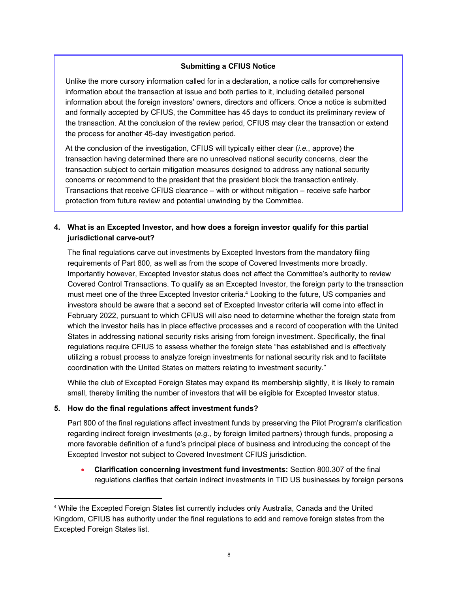# **Submitting a CFIUS Notice**

Unlike the more cursory information called for in a declaration, a notice calls for comprehensive information about the transaction at issue and both parties to it, including detailed personal information about the foreign investors' owners, directors and officers. Once a notice is submitted and formally accepted by CFIUS, the Committee has 45 days to conduct its preliminary review of the transaction. At the conclusion of the review period, CFIUS may clear the transaction or extend the process for another 45-day investigation period.

At the conclusion of the investigation, CFIUS will typically either clear (*i.e.*, approve) the transaction having determined there are no unresolved national security concerns, clear the transaction subject to certain mitigation measures designed to address any national security concerns or recommend to the president that the president block the transaction entirely. Transactions that receive CFIUS clearance – with or without mitigation – receive safe harbor protection from future review and potential unwinding by the Committee.

**4. What is an Excepted Investor, and how does a foreign investor qualify for this partial jurisdictional carve-out?**

The final regulations carve out investments by Excepted Investors from the mandatory filing requirements of Part 800, as well as from the scope of Covered Investments more broadly. Importantly however, Excepted Investor status does not affect the Committee's authority to review Covered Control Transactions. To qualify as an Excepted Investor, the foreign party to the transaction must meet one of the three Excepted Investor criteria.<sup>4</sup> Looking to the future, US companies and investors should be aware that a second set of Excepted Investor criteria will come into effect in February 2022, pursuant to which CFIUS will also need to determine whether the foreign state from which the investor hails has in place effective processes and a record of cooperation with the United States in addressing national security risks arising from foreign investment. Specifically, the final regulations require CFIUS to assess whether the foreign state "has established and is effectively utilizing a robust process to analyze foreign investments for national security risk and to facilitate coordination with the United States on matters relating to investment security."

While the club of Excepted Foreign States may expand its membership slightly, it is likely to remain small, thereby limiting the number of investors that will be eligible for Excepted Investor status.

#### **5. How do the final regulations affect investment funds?**

Part 800 of the final regulations affect investment funds by preserving the Pilot Program's clarification regarding indirect foreign investments (*e.g.*, by foreign limited partners) through funds, proposing a more favorable definition of a fund's principal place of business and introducing the concept of the Excepted Investor not subject to Covered Investment CFIUS jurisdiction.

• **Clarification concerning investment fund investments:** Section 800.307 of the final regulations clarifies that certain indirect investments in TID US businesses by foreign persons

 <sup>4</sup> While the Excepted Foreign States list currently includes only Australia, Canada and the United Kingdom, CFIUS has authority under the final regulations to add and remove foreign states from the Excepted Foreign States list.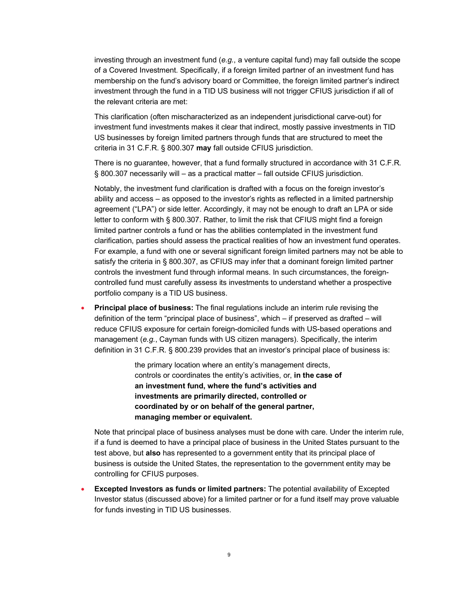investing through an investment fund (*e.g.*, a venture capital fund) may fall outside the scope of a Covered Investment. Specifically, if a foreign limited partner of an investment fund has membership on the fund's advisory board or Committee, the foreign limited partner's indirect investment through the fund in a TID US business will not trigger CFIUS jurisdiction if all of the relevant criteria are met:

This clarification (often mischaracterized as an independent jurisdictional carve-out) for investment fund investments makes it clear that indirect, mostly passive investments in TID US businesses by foreign limited partners through funds that are structured to meet the criteria in 31 C.F.R. § 800.307 **may** fall outside CFIUS jurisdiction.

There is no guarantee, however, that a fund formally structured in accordance with 31 C.F.R. § 800.307 necessarily will – as a practical matter – fall outside CFIUS jurisdiction.

Notably, the investment fund clarification is drafted with a focus on the foreign investor's ability and access – as opposed to the investor's rights as reflected in a limited partnership agreement ("LPA") or side letter. Accordingly, it may not be enough to draft an LPA or side letter to conform with § 800.307. Rather, to limit the risk that CFIUS might find a foreign limited partner controls a fund or has the abilities contemplated in the investment fund clarification, parties should assess the practical realities of how an investment fund operates. For example, a fund with one or several significant foreign limited partners may not be able to satisfy the criteria in § 800.307, as CFIUS may infer that a dominant foreign limited partner controls the investment fund through informal means. In such circumstances, the foreigncontrolled fund must carefully assess its investments to understand whether a prospective portfolio company is a TID US business.

• **Principal place of business:** The final regulations include an interim rule revising the definition of the term "principal place of business", which – if preserved as drafted – will reduce CFIUS exposure for certain foreign-domiciled funds with US-based operations and management (*e.g.*, Cayman funds with US citizen managers). Specifically, the interim definition in 31 C.F.R. § 800.239 provides that an investor's principal place of business is:

> the primary location where an entity's management directs, controls or coordinates the entity's activities, or, **in the case of an investment fund, where the fund's activities and investments are primarily directed, controlled or coordinated by or on behalf of the general partner, managing member or equivalent.**

Note that principal place of business analyses must be done with care. Under the interim rule, if a fund is deemed to have a principal place of business in the United States pursuant to the test above, but **also** has represented to a government entity that its principal place of business is outside the United States, the representation to the government entity may be controlling for CFIUS purposes.

• **Excepted Investors as funds or limited partners:** The potential availability of Excepted Investor status (discussed above) for a limited partner or for a fund itself may prove valuable for funds investing in TID US businesses.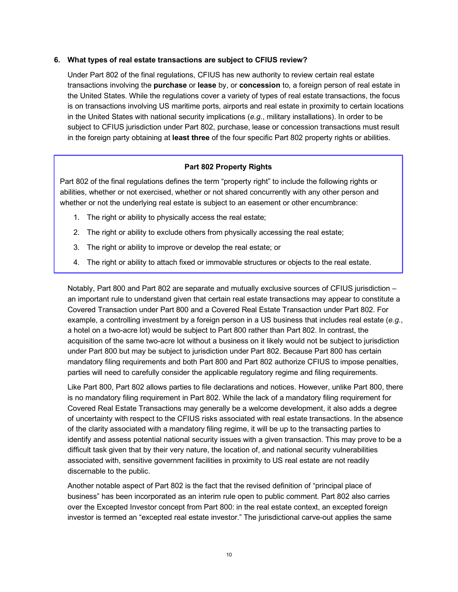### **6. What types of real estate transactions are subject to CFIUS review?**

Under Part 802 of the final regulations, CFIUS has new authority to review certain real estate transactions involving the **purchase** or **lease** by, or **concession** to, a foreign person of real estate in the United States. While the regulations cover a variety of types of real estate transactions, the focus is on transactions involving US maritime ports, airports and real estate in proximity to certain locations in the United States with national security implications (*e.g.*, military installations). In order to be subject to CFIUS jurisdiction under Part 802, purchase, lease or concession transactions must result in the foreign party obtaining at **least three** of the four specific Part 802 property rights or abilities.

# **Part 802 Property Rights**

Part 802 of the final regulations defines the term "property right" to include the following rights or abilities, whether or not exercised, whether or not shared concurrently with any other person and whether or not the underlying real estate is subject to an easement or other encumbrance:

- 1. The right or ability to physically access the real estate;
- 2. The right or ability to exclude others from physically accessing the real estate;
- 3. The right or ability to improve or develop the real estate; or
- 4. The right or ability to attach fixed or immovable structures or objects to the real estate.

Notably, Part 800 and Part 802 are separate and mutually exclusive sources of CFIUS jurisdiction – an important rule to understand given that certain real estate transactions may appear to constitute a Covered Transaction under Part 800 and a Covered Real Estate Transaction under Part 802. For example, a controlling investment by a foreign person in a US business that includes real estate (*e.g.*, a hotel on a two-acre lot) would be subject to Part 800 rather than Part 802. In contrast, the acquisition of the same two-acre lot without a business on it likely would not be subject to jurisdiction under Part 800 but may be subject to jurisdiction under Part 802. Because Part 800 has certain mandatory filing requirements and both Part 800 and Part 802 authorize CFIUS to impose penalties, parties will need to carefully consider the applicable regulatory regime and filing requirements.

Like Part 800, Part 802 allows parties to file declarations and notices. However, unlike Part 800, there is no mandatory filing requirement in Part 802. While the lack of a mandatory filing requirement for Covered Real Estate Transactions may generally be a welcome development, it also adds a degree of uncertainty with respect to the CFIUS risks associated with real estate transactions. In the absence of the clarity associated with a mandatory filing regime, it will be up to the transacting parties to identify and assess potential national security issues with a given transaction. This may prove to be a difficult task given that by their very nature, the location of, and national security vulnerabilities associated with, sensitive government facilities in proximity to US real estate are not readily discernable to the public.

Another notable aspect of Part 802 is the fact that the revised definition of "principal place of business" has been incorporated as an interim rule open to public comment. Part 802 also carries over the Excepted Investor concept from Part 800: in the real estate context, an excepted foreign investor is termed an "excepted real estate investor." The jurisdictional carve-out applies the same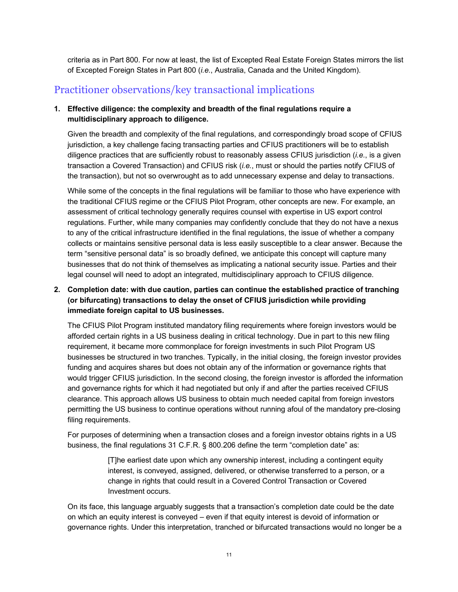criteria as in Part 800. For now at least, the list of Excepted Real Estate Foreign States mirrors the list of Excepted Foreign States in Part 800 (*i.e.*, Australia, Canada and the United Kingdom).

# Practitioner observations/key transactional implications

# **1. Effective diligence: the complexity and breadth of the final regulations require a multidisciplinary approach to diligence.**

Given the breadth and complexity of the final regulations, and correspondingly broad scope of CFIUS jurisdiction, a key challenge facing transacting parties and CFIUS practitioners will be to establish diligence practices that are sufficiently robust to reasonably assess CFIUS jurisdiction (*i.e.*, is a given transaction a Covered Transaction) and CFIUS risk (*i.e.*, must or should the parties notify CFIUS of the transaction), but not so overwrought as to add unnecessary expense and delay to transactions.

While some of the concepts in the final regulations will be familiar to those who have experience with the traditional CFIUS regime or the CFIUS Pilot Program, other concepts are new. For example, an assessment of critical technology generally requires counsel with expertise in US export control regulations. Further, while many companies may confidently conclude that they do not have a nexus to any of the critical infrastructure identified in the final regulations, the issue of whether a company collects or maintains sensitive personal data is less easily susceptible to a clear answer. Because the term "sensitive personal data" is so broadly defined, we anticipate this concept will capture many businesses that do not think of themselves as implicating a national security issue. Parties and their legal counsel will need to adopt an integrated, multidisciplinary approach to CFIUS diligence.

# **2. Completion date: with due caution, parties can continue the established practice of tranching (or bifurcating) transactions to delay the onset of CFIUS jurisdiction while providing immediate foreign capital to US businesses.**

The CFIUS Pilot Program instituted mandatory filing requirements where foreign investors would be afforded certain rights in a US business dealing in critical technology. Due in part to this new filing requirement, it became more commonplace for foreign investments in such Pilot Program US businesses be structured in two tranches. Typically, in the initial closing, the foreign investor provides funding and acquires shares but does not obtain any of the information or governance rights that would trigger CFIUS jurisdiction. In the second closing, the foreign investor is afforded the information and governance rights for which it had negotiated but only if and after the parties received CFIUS clearance. This approach allows US business to obtain much needed capital from foreign investors permitting the US business to continue operations without running afoul of the mandatory pre-closing filing requirements.

For purposes of determining when a transaction closes and a foreign investor obtains rights in a US business, the final regulations 31 C.F.R. § 800.206 define the term "completion date" as:

> [T]he earliest date upon which any ownership interest, including a contingent equity interest, is conveyed, assigned, delivered, or otherwise transferred to a person, or a change in rights that could result in a Covered Control Transaction or Covered Investment occurs.

On its face, this language arguably suggests that a transaction's completion date could be the date on which an equity interest is conveyed – even if that equity interest is devoid of information or governance rights. Under this interpretation, tranched or bifurcated transactions would no longer be a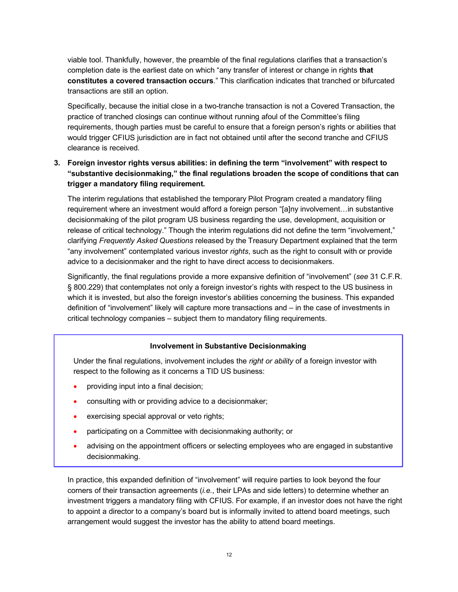viable tool. Thankfully, however, the preamble of the final regulations clarifies that a transaction's completion date is the earliest date on which "any transfer of interest or change in rights **that constitutes a covered transaction occurs**." This clarification indicates that tranched or bifurcated transactions are still an option.

Specifically, because the initial close in a two-tranche transaction is not a Covered Transaction, the practice of tranched closings can continue without running afoul of the Committee's filing requirements, though parties must be careful to ensure that a foreign person's rights or abilities that would trigger CFIUS jurisdiction are in fact not obtained until after the second tranche and CFIUS clearance is received.

# **3. Foreign investor rights versus abilities: in defining the term "involvement" with respect to "substantive decisionmaking," the final regulations broaden the scope of conditions that can trigger a mandatory filing requirement.**

The interim regulations that established the temporary Pilot Program created a mandatory filing requirement where an investment would afford a foreign person "[a]ny involvement…in substantive decisionmaking of the pilot program US business regarding the use, development, acquisition or release of critical technology." Though the interim regulations did not define the term "involvement," clarifying *Frequently Asked Questions* released by the Treasury Department explained that the term "any involvement" contemplated various investor *rights*, such as the right to consult with or provide advice to a decisionmaker and the right to have direct access to decisionmakers.

Significantly, the final regulations provide a more expansive definition of "involvement" (*see* 31 C.F.R. § 800.229) that contemplates not only a foreign investor's rights with respect to the US business in which it is invested, but also the foreign investor's abilities concerning the business. This expanded definition of "involvement" likely will capture more transactions and – in the case of investments in critical technology companies – subject them to mandatory filing requirements.

#### **Involvement in Substantive Decisionmaking**

Under the final regulations, involvement includes the *right or ability* of a foreign investor with respect to the following as it concerns a TID US business:

- providing input into a final decision;
- consulting with or providing advice to a decisionmaker;
- exercising special approval or veto rights;
- participating on a Committee with decisionmaking authority; or
- advising on the appointment officers or selecting employees who are engaged in substantive decisionmaking.

In practice, this expanded definition of "involvement" will require parties to look beyond the four corners of their transaction agreements (*i.e.*, their LPAs and side letters) to determine whether an investment triggers a mandatory filing with CFIUS. For example, if an investor does not have the right to appoint a director to a company's board but is informally invited to attend board meetings, such arrangement would suggest the investor has the ability to attend board meetings.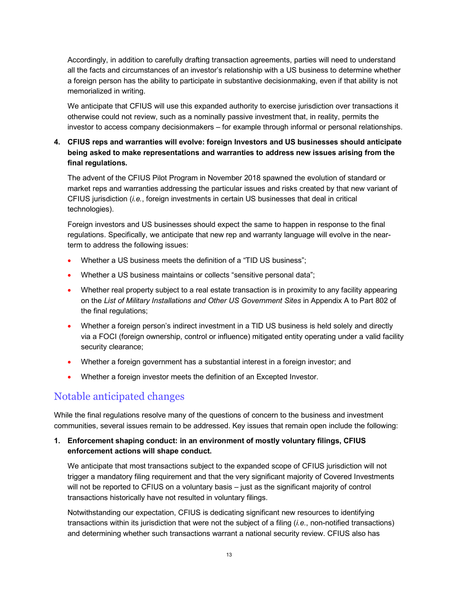Accordingly, in addition to carefully drafting transaction agreements, parties will need to understand all the facts and circumstances of an investor's relationship with a US business to determine whether a foreign person has the ability to participate in substantive decisionmaking, even if that ability is not memorialized in writing.

We anticipate that CFIUS will use this expanded authority to exercise jurisdiction over transactions it otherwise could not review, such as a nominally passive investment that, in reality, permits the investor to access company decisionmakers – for example through informal or personal relationships.

# **4. CFIUS reps and warranties will evolve: foreign Investors and US businesses should anticipate being asked to make representations and warranties to address new issues arising from the final regulations.**

The advent of the CFIUS Pilot Program in November 2018 spawned the evolution of standard or market reps and warranties addressing the particular issues and risks created by that new variant of CFIUS jurisdiction (*i.e.*, foreign investments in certain US businesses that deal in critical technologies).

Foreign investors and US businesses should expect the same to happen in response to the final regulations. Specifically, we anticipate that new rep and warranty language will evolve in the nearterm to address the following issues:

- Whether a US business meets the definition of a "TID US business";
- Whether a US business maintains or collects "sensitive personal data";
- Whether real property subject to a real estate transaction is in proximity to any facility appearing on the *List of Military Installations and Other US Government Sites* in Appendix A to Part 802 of the final regulations;
- Whether a foreign person's indirect investment in a TID US business is held solely and directly via a FOCI (foreign ownership, control or influence) mitigated entity operating under a valid facility security clearance;
- Whether a foreign government has a substantial interest in a foreign investor; and
- Whether a foreign investor meets the definition of an Excepted Investor.

# Notable anticipated changes

While the final regulations resolve many of the questions of concern to the business and investment communities, several issues remain to be addressed. Key issues that remain open include the following:

# **1. Enforcement shaping conduct: in an environment of mostly voluntary filings, CFIUS enforcement actions will shape conduct.**

We anticipate that most transactions subject to the expanded scope of CFIUS jurisdiction will not trigger a mandatory filing requirement and that the very significant majority of Covered Investments will not be reported to CFIUS on a voluntary basis – just as the significant majority of control transactions historically have not resulted in voluntary filings.

Notwithstanding our expectation, CFIUS is dedicating significant new resources to identifying transactions within its jurisdiction that were not the subject of a filing (*i.e.*, non-notified transactions) and determining whether such transactions warrant a national security review. CFIUS also has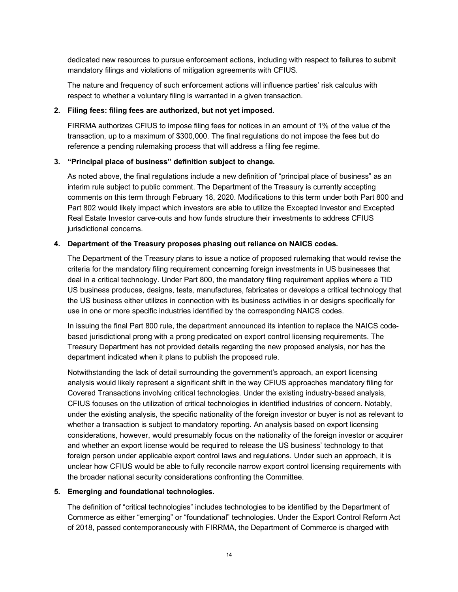dedicated new resources to pursue enforcement actions, including with respect to failures to submit mandatory filings and violations of mitigation agreements with CFIUS.

The nature and frequency of such enforcement actions will influence parties' risk calculus with respect to whether a voluntary filing is warranted in a given transaction.

#### **2. Filing fees: filing fees are authorized, but not yet imposed.**

FIRRMA authorizes CFIUS to impose filing fees for notices in an amount of 1% of the value of the transaction, up to a maximum of \$300,000. The final regulations do not impose the fees but do reference a pending rulemaking process that will address a filing fee regime.

### **3. "Principal place of business" definition subject to change.**

As noted above, the final regulations include a new definition of "principal place of business" as an interim rule subject to public comment. The Department of the Treasury is currently accepting comments on this term through February 18, 2020. Modifications to this term under both Part 800 and Part 802 would likely impact which investors are able to utilize the Excepted Investor and Excepted Real Estate Investor carve-outs and how funds structure their investments to address CFIUS jurisdictional concerns.

### **4. Department of the Treasury proposes phasing out reliance on NAICS codes.**

The Department of the Treasury plans to issue a notice of proposed rulemaking that would revise the criteria for the mandatory filing requirement concerning foreign investments in US businesses that deal in a critical technology. Under Part 800, the mandatory filing requirement applies where a TID US business produces, designs, tests, manufactures, fabricates or develops a critical technology that the US business either utilizes in connection with its business activities in or designs specifically for use in one or more specific industries identified by the corresponding NAICS codes.

In issuing the final Part 800 rule, the department announced its intention to replace the NAICS codebased jurisdictional prong with a prong predicated on export control licensing requirements. The Treasury Department has not provided details regarding the new proposed analysis, nor has the department indicated when it plans to publish the proposed rule.

Notwithstanding the lack of detail surrounding the government's approach, an export licensing analysis would likely represent a significant shift in the way CFIUS approaches mandatory filing for Covered Transactions involving critical technologies. Under the existing industry-based analysis, CFIUS focuses on the utilization of critical technologies in identified industries of concern. Notably, under the existing analysis, the specific nationality of the foreign investor or buyer is not as relevant to whether a transaction is subject to mandatory reporting. An analysis based on export licensing considerations, however, would presumably focus on the nationality of the foreign investor or acquirer and whether an export license would be required to release the US business' technology to that foreign person under applicable export control laws and regulations. Under such an approach, it is unclear how CFIUS would be able to fully reconcile narrow export control licensing requirements with the broader national security considerations confronting the Committee.

# **5. Emerging and foundational technologies.**

The definition of "critical technologies" includes technologies to be identified by the Department of Commerce as either "emerging" or "foundational" technologies. Under the Export Control Reform Act of 2018, passed contemporaneously with FIRRMA, the Department of Commerce is charged with